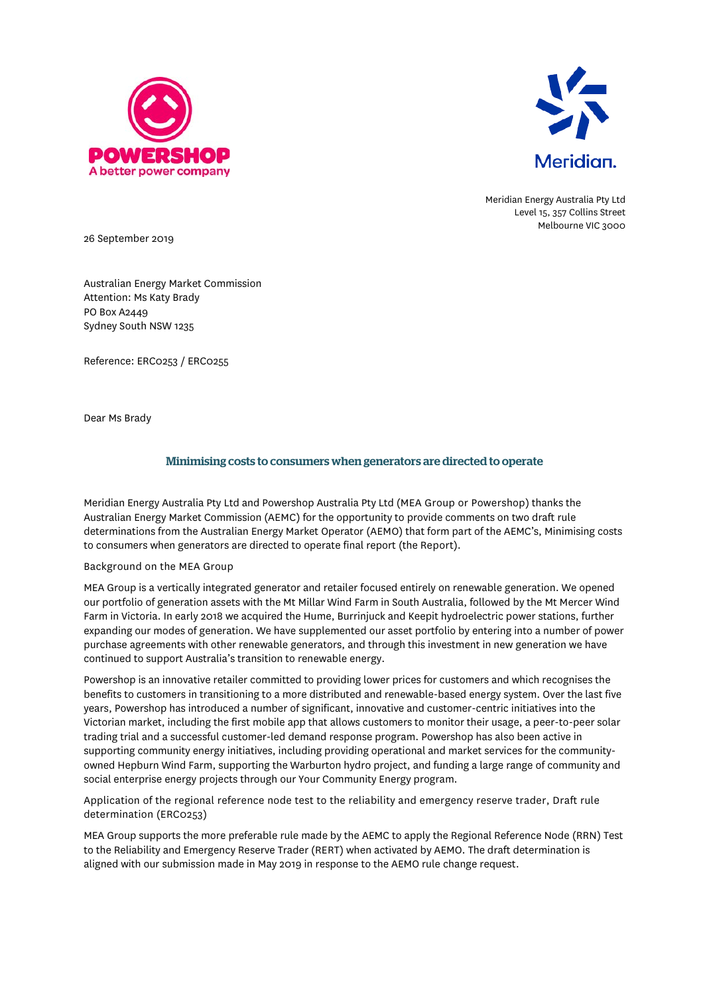



Meridian Energy Australia Pty Ltd Level 15, 357 Collins Street Melbourne VIC 3000

26 September 2019

Australian Energy Market Commission Attention: Ms Katy Brady PO Box A2449 Sydney South NSW 1235

Reference: ERC0253 / ERC0255

Dear Ms Brady

## Minimising costs to consumers when generators are directed to operate

Meridian Energy Australia Pty Ltd and Powershop Australia Pty Ltd (MEA Group or Powershop) thanks the Australian Energy Market Commission (AEMC) for the opportunity to provide comments on two draft rule determinations from the Australian Energy Market Operator (AEMO) that form part of the AEMC's, Minimising costs to consumers when generators are directed to operate final report (the Report).

## Background on the MEA Group

MEA Group is a vertically integrated generator and retailer focused entirely on renewable generation. We opened our portfolio of generation assets with the Mt Millar Wind Farm in South Australia, followed by the Mt Mercer Wind Farm in Victoria. In early 2018 we acquired the Hume, Burrinjuck and Keepit hydroelectric power stations, further expanding our modes of generation. We have supplemented our asset portfolio by entering into a number of power purchase agreements with other renewable generators, and through this investment in new generation we have continued to support Australia's transition to renewable energy.

Powershop is an innovative retailer committed to providing lower prices for customers and which recognises the benefits to customers in transitioning to a more distributed and renewable-based energy system. Over the last five years, Powershop has introduced a number of significant, innovative and customer-centric initiatives into the Victorian market, including the first mobile app that allows customers to monitor their usage, a peer-to-peer solar trading trial and a successful customer-led demand response program. Powershop has also been active in supporting community energy initiatives, including providing operational and market services for the communityowned Hepburn Wind Farm, supporting the Warburton hydro project, and funding a large range of community and social enterprise energy projects through our Your Community Energy program.

Application of the regional reference node test to the reliability and emergency reserve trader, Draft rule determination (ERC0253)

MEA Group supports the more preferable rule made by the AEMC to apply the Regional Reference Node (RRN) Test to the Reliability and Emergency Reserve Trader (RERT) when activated by AEMO. The draft determination is aligned with our submission made in May 2019 in response to the AEMO rule change request.